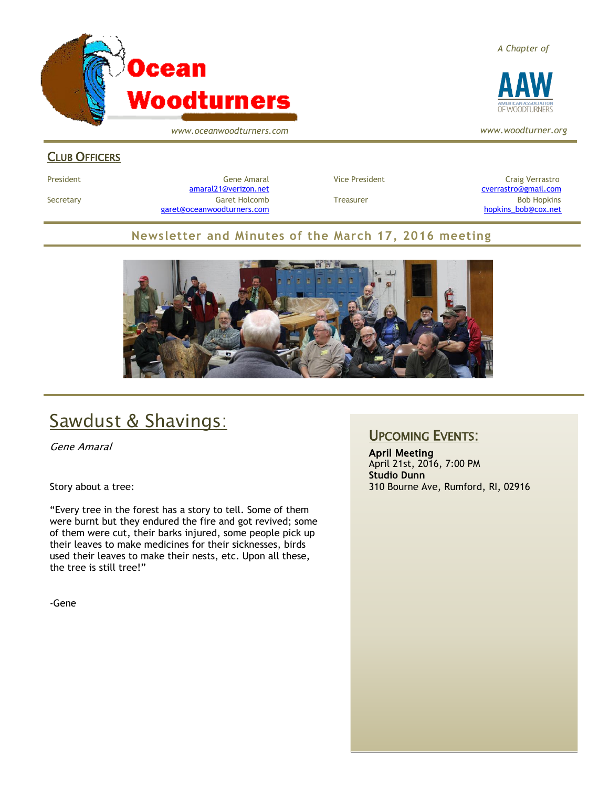

*www.oceanwoodturners.com*

#### *A Chapter of*



*www.woodturner.org*

## CLUB OFFICERS

President Craig Verrastro Cene Amaral Cene Amaral Craig Verrastro Craig Verrastro [amaral21@verizon.net](mailto:amaral21@verizon.net) [cverrastro@gmail.com](mailto:cverrastro@gmail.com) Secretary Garet Holcomb Treasurer Bob Hopkins Bob Hopkins (Bob Hopkins Garet Holcomb [garet@oceanwoodturners.com](mailto:garet@oceanwoodturners.com) and the state of the state of the state of the state of the state of the state of the state of the state of the state of the state of the state of the state of the state of the state of the state

## **Newsletter and Minutes of the March 17, 2016 meeting**



# Sawdust & Shavings:

Gene Amaral

Story about a tree:

"Every tree in the forest has a story to tell. Some of them were burnt but they endured the fire and got revived; some of them were cut, their barks injured, some people pick up their leaves to make medicines for their sicknesses, birds used their leaves to make their nests, etc. Upon all these, the tree is still tree!"

-Gene

## UPCOMING EVENTS:

April Meeting April 21st, 2016, 7:00 PM **Studio Dunn** 310 Bourne Ave, Rumford, RI, 02916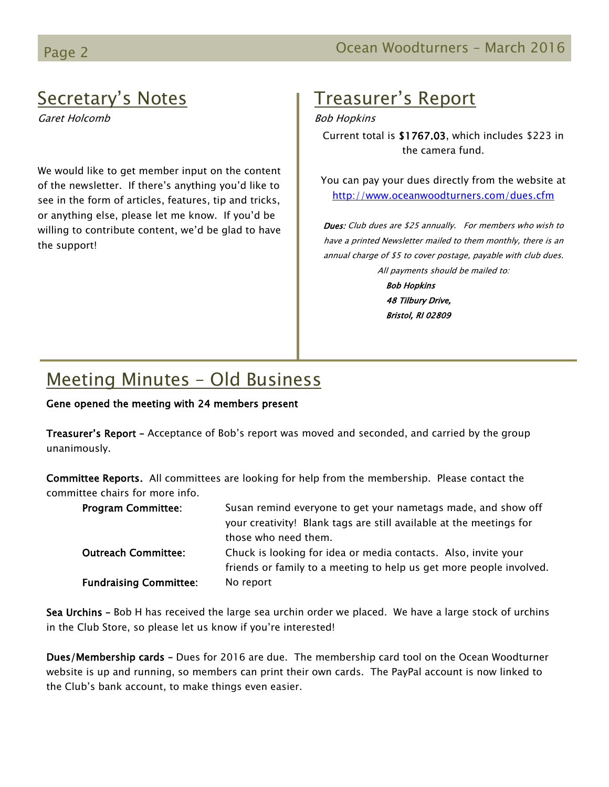# Secretary's Notes

Garet Holcomb

We would like to get member input on the content of the newsletter. If there's anything you'd like to see in the form of articles, features, tip and tricks, or anything else, please let me know. If you'd be willing to contribute content, we'd be glad to have the support!

# Treasurer's Report

Bob Hopkins

Current total is \$1767.03, which includes \$223 in the camera fund.

You can pay your dues directly from the website at <http://www.oceanwoodturners.com/dues.cfm>

Dues: Club dues are \$25 annually. For members who wish to have a printed Newsletter mailed to them monthly, there is an annual charge of \$5 to cover postage, payable with club dues. All payments should be mailed to:

> Bob Hopkins 48 Tilbury Drive, Bristol, RI 02809

# Meeting Minutes – Old Business

### Gene opened the meeting with 24 members present

Treasurer's Report - Acceptance of Bob's report was moved and seconded, and carried by the group unanimously.

Committee Reports. All committees are looking for help from the membership. Please contact the committee chairs for more info.

| <b>Program Committee:</b>     | Susan remind everyone to get your nametags made, and show off       |
|-------------------------------|---------------------------------------------------------------------|
|                               | your creativity! Blank tags are still available at the meetings for |
|                               | those who need them.                                                |
| <b>Outreach Committee:</b>    | Chuck is looking for idea or media contacts. Also, invite your      |
|                               | friends or family to a meeting to help us get more people involved. |
| <b>Fundraising Committee:</b> | No report                                                           |

Sea Urchins – Bob H has received the large sea urchin order we placed. We have a large stock of urchins in the Club Store, so please let us know if you're interested!

Dues/Membership cards – Dues for 2016 are due. The membership card tool on the Ocean Woodturner website is up and running, so members can print their own cards. The PayPal account is now linked to the Club's bank account, to make things even easier.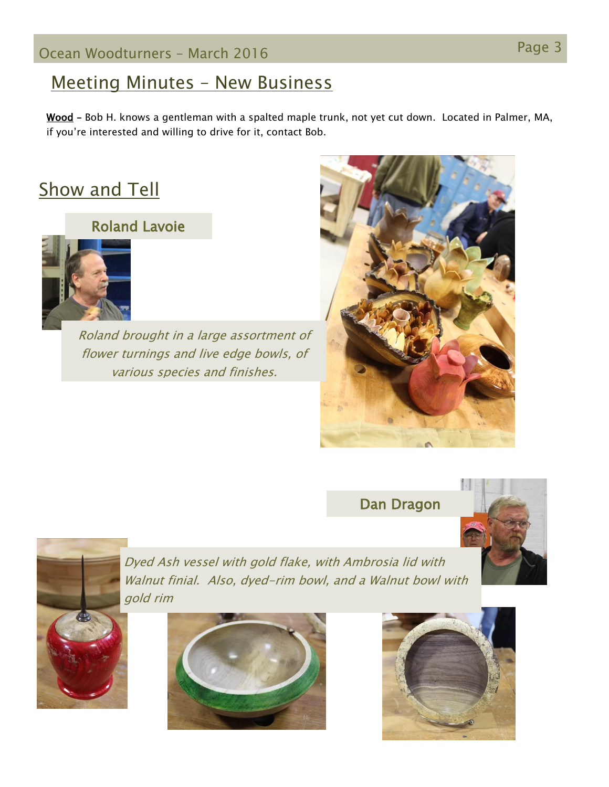## Meeting Minutes – New Business

Wood - Bob H. knows a gentleman with a spalted maple trunk, not yet cut down. Located in Palmer, MA, if you're interested and willing to drive for it, contact Bob.

# **Show and Tell**

## Roland Lavoie



Roland brought in a large assortment of flower turnings and live edge bowls, of various species and finishes.



Dan Dragon





Dyed Ash vessel with gold flake, with Ambrosia lid with Walnut finial. Also, dyed-rim bowl, and a Walnut bowl with gold rim



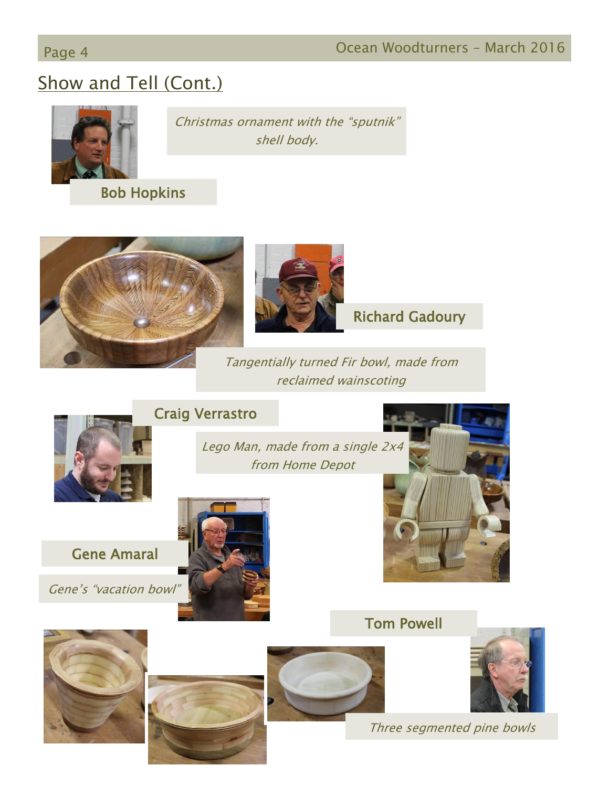# Page 4 **Ocean Woodturners – March 2016**

# Show and Tell (Cont.)



Christmas ornament with the "sputnik" shell body.

Bob Hopkins





Richard Gadoury

Tangentially turned Fir bowl, made from reclaimed wainscoting



## Craig Verrastro

Lego Man, made from a single 2x4 from Home Depot

Gene Amaral

Gene's "vacation bowl"





Tom Powell









Three segmented pine bowls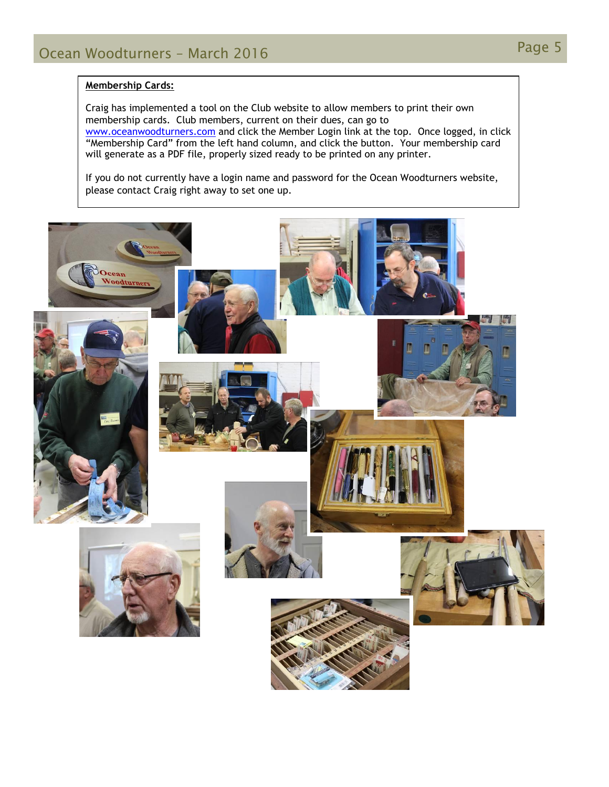#### **Membership Cards:**

Craig has implemented a tool on the Club website to allow members to print their own membership cards. Club members, current on their dues, can go to [www.oceanwoodturners.com](http://www.oceanwoodturners.com/) and click the Member Login link at the top. Once logged, in click "Membership Card" from the left hand column, and click the button. Your membership card will generate as a PDF file, properly sized ready to be printed on any printer.

If you do not currently have a login name and password for the Ocean Woodturners website, please contact Craig right away to set one up.

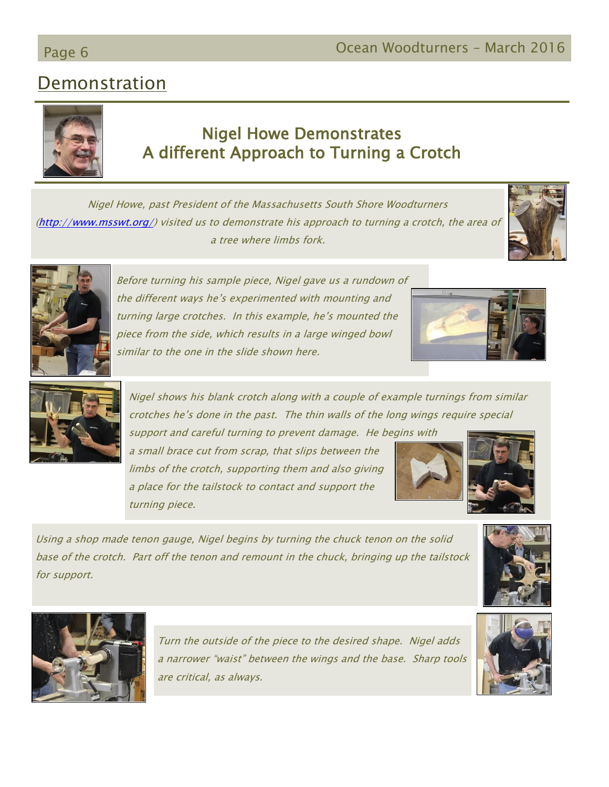# Demonstration

## Nigel Howe Demonstrates A different Approach to Turning a Crotch

Nigel Howe, past President of the Massachusetts South Shore Woodturners [\(http://www.msswt.org/\)](http://www.msswt.org/) visited us to demonstrate his approach to turning a crotch, the area of a tree where limbs fork.

> Before turning his sample piece, Nigel gave us a rundown of the different ways he's experimented with mounting and turning large crotches. In this example, he's mounted the piece from the side, which results in a large winged bowl similar to the one in the slide shown here.

Nigel shows his blank crotch along with a couple of example turnings from similar crotches he's done in the past. The thin walls of the long wings require special

support and careful turning to prevent damage. He begins with a small brace cut from scrap, that slips between the limbs of the crotch, supporting them and also giving a place for the tailstock to contact and support the turning piece.

Using a shop made tenon gauge, Nigel begins by turning the chuck tenon on the solid base of the crotch. Part off the tenon and remount in the chuck, bringing up the tailstock for support.

> Turn the outside of the piece to the desired shape. Nigel adds a narrower "waist" between the wings and the base. Sharp tools are critical, as always.